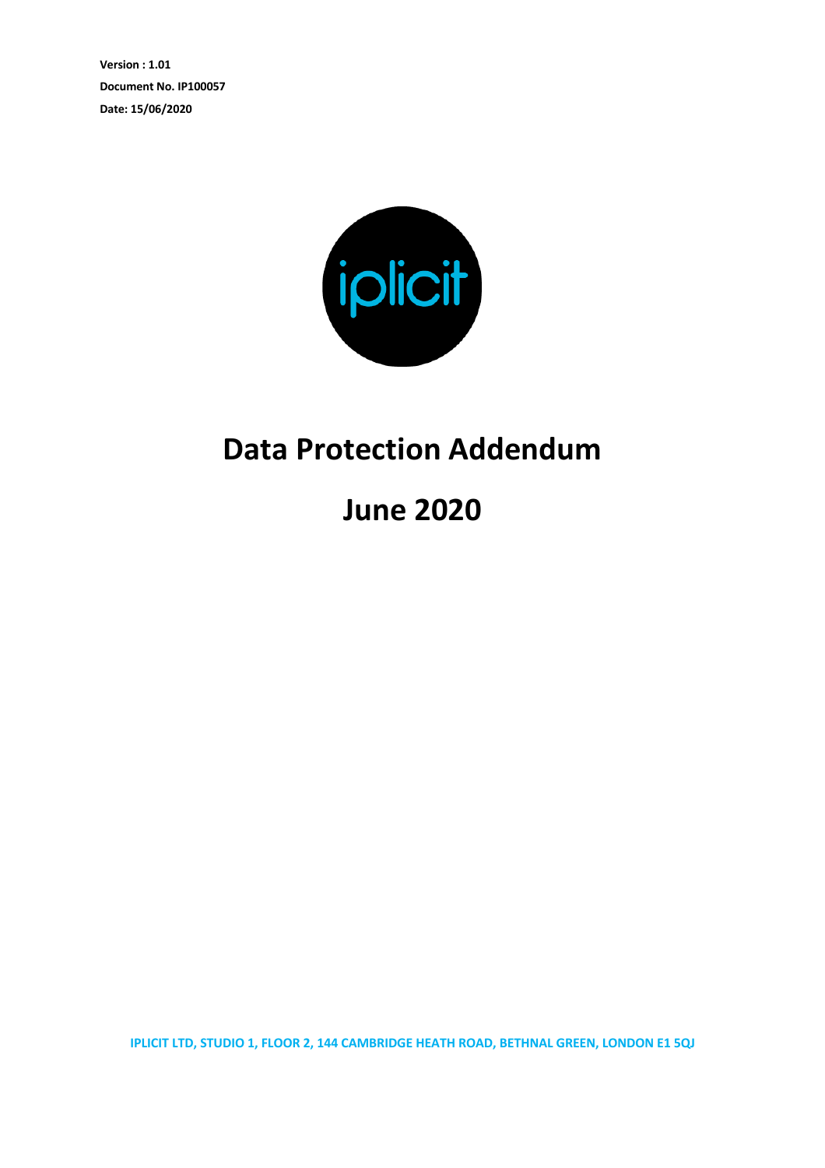**Version : 1.01 Document No. IP100057 Date: 15/06/2020**



## **Data Protection Addendum**

**June 2020**

**IPLICIT LTD, STUDIO 1, FLOOR 2, 144 CAMBRIDGE HEATH ROAD, BETHNAL GREEN, LONDON E1 5QJ**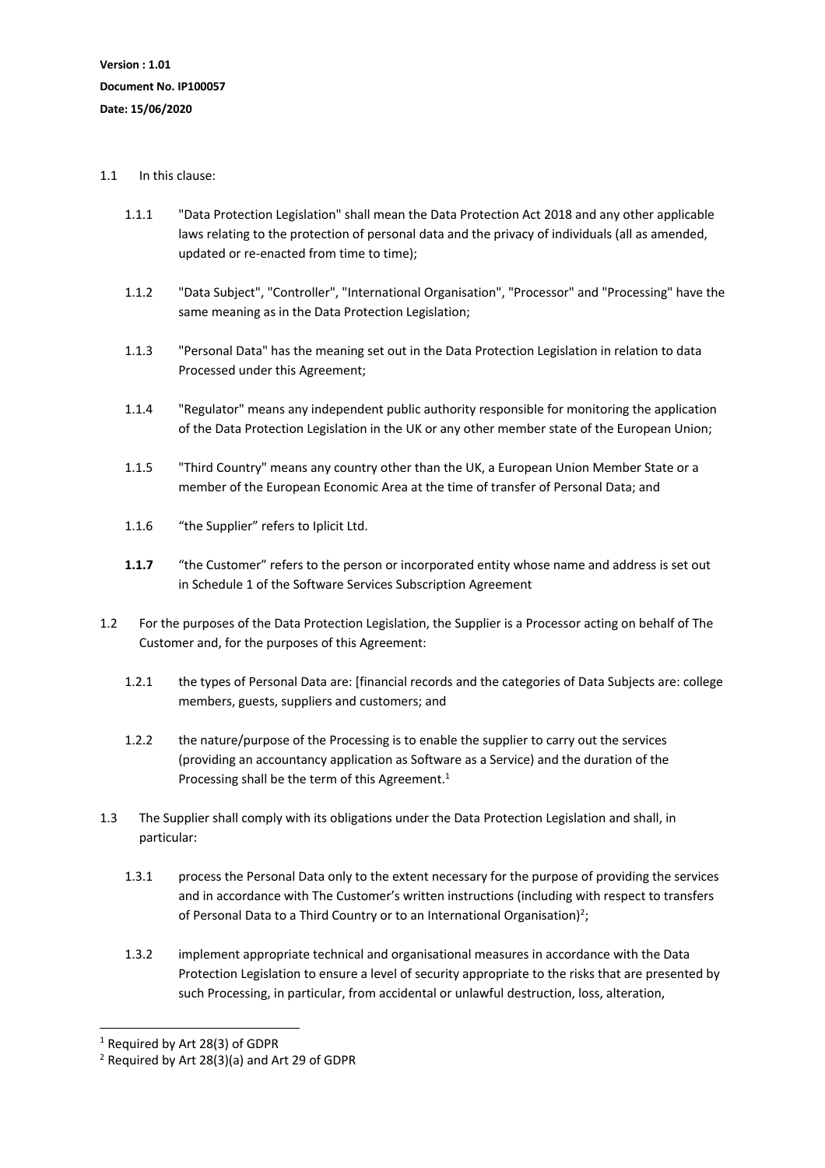## 1.1 In this clause:

- 1.1.1 "Data Protection Legislation" shall mean the Data Protection Act 2018 and any other applicable laws relating to the protection of personal data and the privacy of individuals (all as amended, updated or re-enacted from time to time);
- 1.1.2 "Data Subject", "Controller", "International Organisation", "Processor" and "Processing" have the same meaning as in the Data Protection Legislation;
- 1.1.3 "Personal Data" has the meaning set out in the Data Protection Legislation in relation to data Processed under this Agreement;
- 1.1.4 "Regulator" means any independent public authority responsible for monitoring the application of the Data Protection Legislation in the UK or any other member state of the European Union;
- 1.1.5 "Third Country" means any country other than the UK, a European Union Member State or a member of the European Economic Area at the time of transfer of Personal Data; and
- 1.1.6 "the Supplier" refers to Iplicit Ltd.
- **1.1.7** "the Customer" refers to the person or incorporated entity whose name and address is set out in Schedule 1 of the Software Services Subscription Agreement
- 1.2 For the purposes of the Data Protection Legislation, the Supplier is a Processor acting on behalf of The Customer and, for the purposes of this Agreement:
	- 1.2.1 the types of Personal Data are: [financial records and the categories of Data Subjects are: college members, guests, suppliers and customers; and
	- 1.2.2 the nature/purpose of the Processing is to enable the supplier to carry out the services (providing an accountancy application as Software as a Service) and the duration of the Processing shall be the term of this Agreement.<sup>1</sup>
- 1.3 The Supplier shall comply with its obligations under the Data Protection Legislation and shall, in particular:
	- 1.3.1 process the Personal Data only to the extent necessary for the purpose of providing the services and in accordance with The Customer's written instructions (including with respect to transfers of Personal Data to a Third Country or to an International Organisation)<sup>2</sup>;
	- 1.3.2 implement appropriate technical and organisational measures in accordance with the Data Protection Legislation to ensure a level of security appropriate to the risks that are presented by such Processing, in particular, from accidental or unlawful destruction, loss, alteration,

<sup>1</sup> Required by Art 28(3) of GDPR

<sup>2</sup> Required by Art 28(3)(a) and Art 29 of GDPR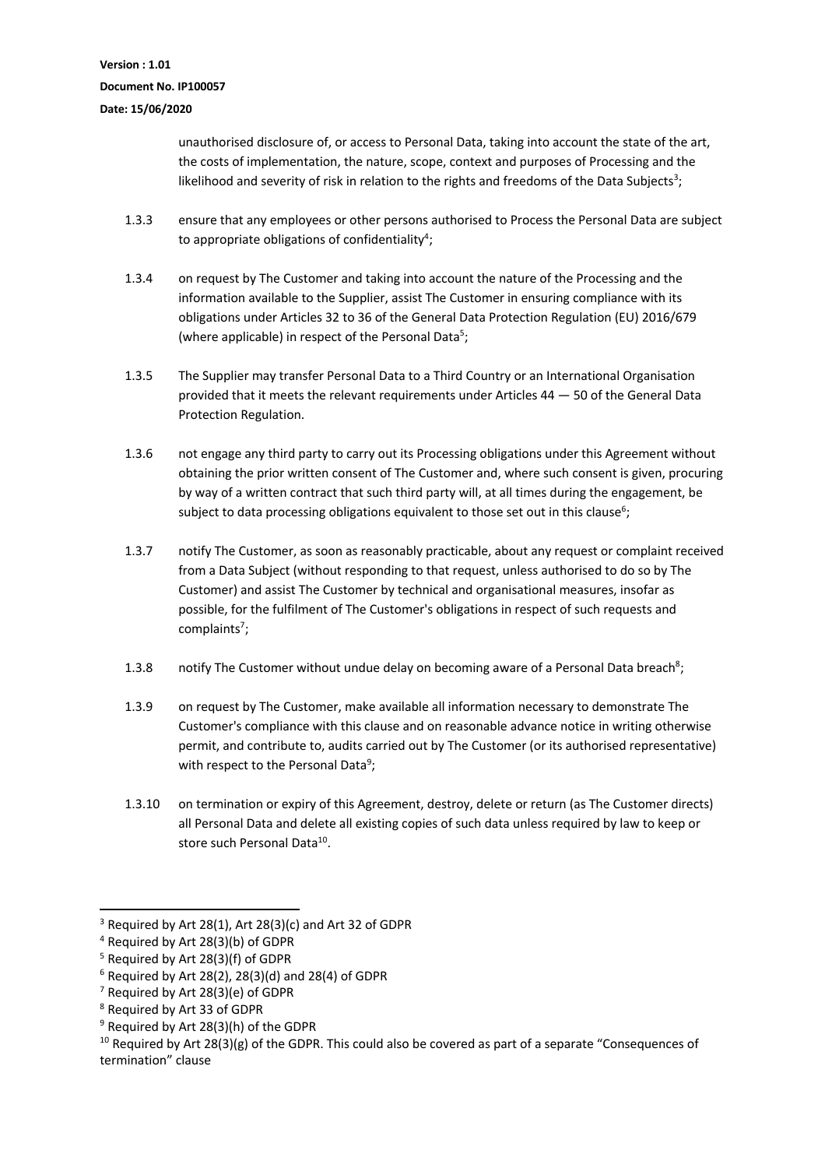unauthorised disclosure of, or access to Personal Data, taking into account the state of the art, the costs of implementation, the nature, scope, context and purposes of Processing and the likelihood and severity of risk in relation to the rights and freedoms of the Data Subjects<sup>3</sup>;

- 1.3.3 ensure that any employees or other persons authorised to Process the Personal Data are subject to appropriate obligations of confidentiality<sup>4</sup>;
- 1.3.4 on request by The Customer and taking into account the nature of the Processing and the information available to the Supplier, assist The Customer in ensuring compliance with its obligations under Articles 32 to 36 of the General Data Protection Regulation (EU) 2016/679 (where applicable) in respect of the Personal Data<sup>5</sup>;
- 1.3.5 The Supplier may transfer Personal Data to a Third Country or an International Organisation provided that it meets the relevant requirements under Articles 44 — 50 of the General Data Protection Regulation.
- 1.3.6 not engage any third party to carry out its Processing obligations under this Agreement without obtaining the prior written consent of The Customer and, where such consent is given, procuring by way of a written contract that such third party will, at all times during the engagement, be subject to data processing obligations equivalent to those set out in this clause<sup>6</sup>;
- 1.3.7 notify The Customer, as soon as reasonably practicable, about any request or complaint received from a Data Subject (without responding to that request, unless authorised to do so by The Customer) and assist The Customer by technical and organisational measures, insofar as possible, for the fulfilment of The Customer's obligations in respect of such requests and complaints<sup>7</sup>;
- 1.3.8 notify The Customer without undue delay on becoming aware of a Personal Data breach<sup>8</sup>;
- 1.3.9 on request by The Customer, make available all information necessary to demonstrate The Customer's compliance with this clause and on reasonable advance notice in writing otherwise permit, and contribute to, audits carried out by The Customer (or its authorised representative) with respect to the Personal Data<sup>9</sup>;
- 1.3.10 on termination or expiry of this Agreement, destroy, delete or return (as The Customer directs) all Personal Data and delete all existing copies of such data unless required by law to keep or store such Personal Data<sup>10</sup>.

 $3$  Required by Art 28(1), Art 28(3)(c) and Art 32 of GDPR

<sup>4</sup> Required by Art 28(3)(b) of GDPR

<sup>5</sup> Required by Art 28(3)(f) of GDPR

 $6$  Required by Art 28(2), 28(3)(d) and 28(4) of GDPR

<sup>7</sup> Required by Art 28(3)(e) of GDPR

<sup>8</sup> Required by Art 33 of GDPR

<sup>9</sup> Required by Art 28(3)(h) of the GDPR

 $10$  Required by Art 28(3)(g) of the GDPR. This could also be covered as part of a separate "Consequences of termination" clause